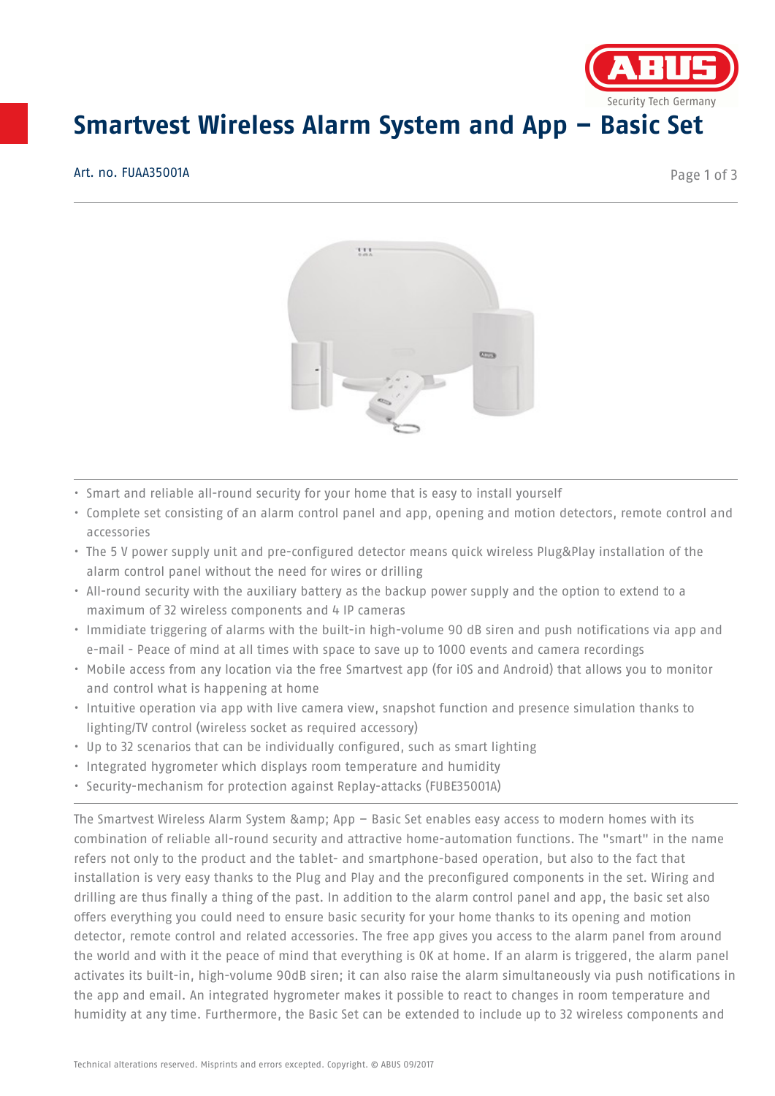

## **Smartvest Wireless Alarm System and App – Basic Set**

Art. no. FUAA35001A

Page 1 of 3



- Smart and reliable all-round security for your home that is easy to install yourself
- Complete set consisting of an alarm control panel and app, opening and motion detectors, remote control and accessories
- The 5 V power supply unit and pre-configured detector means quick wireless Plug&Play installation of the alarm control panel without the need for wires or drilling
- All-round security with the auxiliary battery as the backup power supply and the option to extend to a maximum of 32 wireless components and 4 IP cameras
- Immidiate triggering of alarms with the built-in high-volume 90 dB siren and push notifications via app and e-mail - Peace of mind at all times with space to save up to 1000 events and camera recordings
- Mobile access from any location via the free Smartvest app (for iOS and Android) that allows you to monitor and control what is happening at home
- Intuitive operation via app with live camera view, snapshot function and presence simulation thanks to lighting/TV control (wireless socket as required accessory)
- Up to 32 scenarios that can be individually configured, such as smart lighting
- Integrated hygrometer which displays room temperature and humidity
- Security-mechanism for protection against Replay-attacks (FUBE35001A)

The Smartvest Wireless Alarm System & amp; App  $-$  Basic Set enables easy access to modern homes with its combination of reliable all-round security and attractive home-automation functions. The "smart" in the name refers not only to the product and the tablet- and smartphone-based operation, but also to the fact that installation is very easy thanks to the Plug and Play and the preconfigured components in the set. Wiring and drilling are thus finally a thing of the past. In addition to the alarm control panel and app, the basic set also offers everything you could need to ensure basic security for your home thanks to its opening and motion detector, remote control and related accessories. The free app gives you access to the alarm panel from around the world and with it the peace of mind that everything is OK at home. If an alarm is triggered, the alarm panel activates its built-in, high-volume 90dB siren; it can also raise the alarm simultaneously via push notifications in the app and email. An integrated hygrometer makes it possible to react to changes in room temperature and humidity at any time. Furthermore, the Basic Set can be extended to include up to 32 wireless components and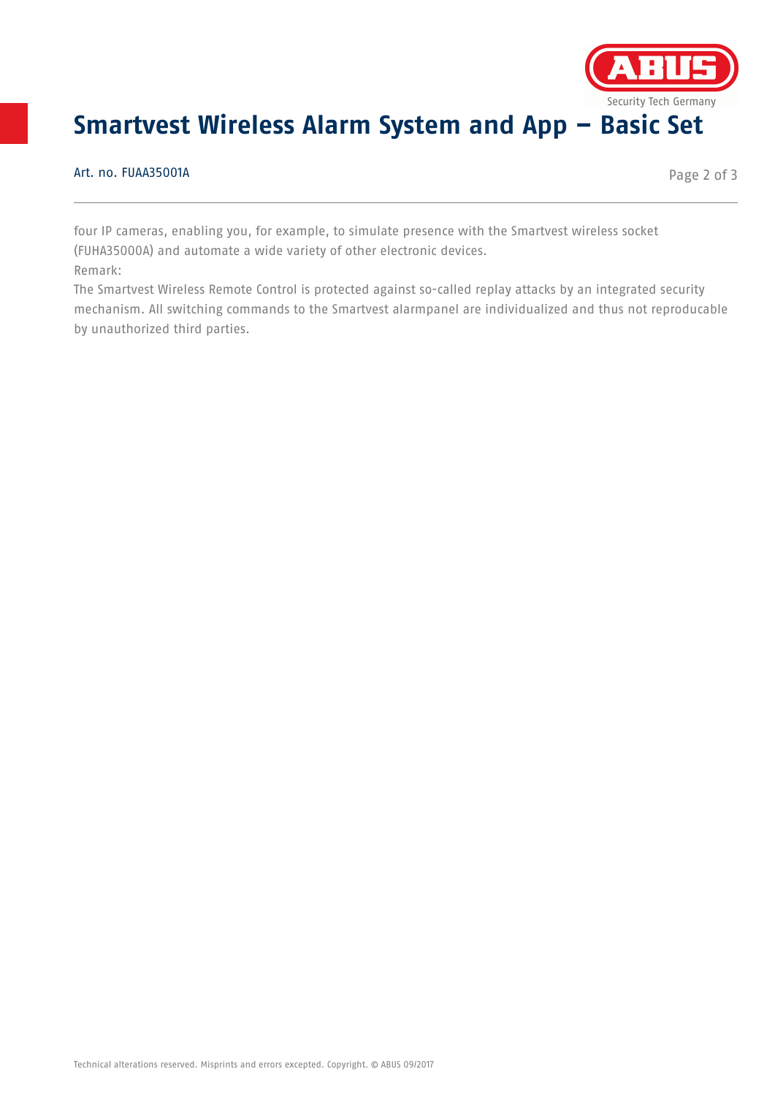

## **Smartvest Wireless Alarm System and App – Basic Set**

Art. no. FUAA35001A

Page 2 of 3

four IP cameras, enabling you, for example, to simulate presence with the Smartvest wireless socket (FUHA35000A) and automate a wide variety of other electronic devices.

Remark:

The Smartvest Wireless Remote Control is protected against so-called replay attacks by an integrated security mechanism. All switching commands to the Smartvest alarmpanel are individualized and thus not reproducable by unauthorized third parties.